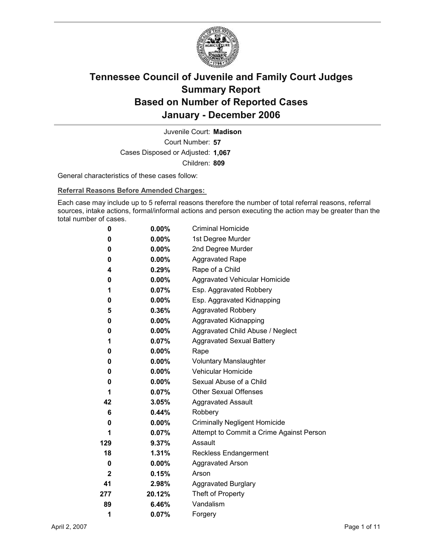

Court Number: **57** Juvenile Court: **Madison** Cases Disposed or Adjusted: **1,067** Children: **809**

General characteristics of these cases follow:

**Referral Reasons Before Amended Charges:** 

Each case may include up to 5 referral reasons therefore the number of total referral reasons, referral sources, intake actions, formal/informal actions and person executing the action may be greater than the total number of cases.

| 0            | 0.00%    | <b>Criminal Homicide</b>                 |
|--------------|----------|------------------------------------------|
| 0            | $0.00\%$ | 1st Degree Murder                        |
| 0            | $0.00\%$ | 2nd Degree Murder                        |
| 0            | $0.00\%$ | <b>Aggravated Rape</b>                   |
| 4            | 0.29%    | Rape of a Child                          |
| 0            | $0.00\%$ | Aggravated Vehicular Homicide            |
| 1            | 0.07%    | Esp. Aggravated Robbery                  |
| 0            | $0.00\%$ | Esp. Aggravated Kidnapping               |
| 5            | 0.36%    | <b>Aggravated Robbery</b>                |
| 0            | $0.00\%$ | Aggravated Kidnapping                    |
| 0            | $0.00\%$ | Aggravated Child Abuse / Neglect         |
| 1            | 0.07%    | <b>Aggravated Sexual Battery</b>         |
| 0            | $0.00\%$ | Rape                                     |
| 0            | $0.00\%$ | <b>Voluntary Manslaughter</b>            |
| 0            | $0.00\%$ | <b>Vehicular Homicide</b>                |
| 0            | $0.00\%$ | Sexual Abuse of a Child                  |
| 1            | 0.07%    | <b>Other Sexual Offenses</b>             |
| 42           | 3.05%    | <b>Aggravated Assault</b>                |
| 6            | 0.44%    | Robbery                                  |
| 0            | $0.00\%$ | <b>Criminally Negligent Homicide</b>     |
| 1            | $0.07\%$ | Attempt to Commit a Crime Against Person |
| 129          | 9.37%    | Assault                                  |
| 18           | 1.31%    | <b>Reckless Endangerment</b>             |
| 0            | $0.00\%$ | <b>Aggravated Arson</b>                  |
| $\mathbf{2}$ | 0.15%    | Arson                                    |
| 41           | 2.98%    | <b>Aggravated Burglary</b>               |
| 277          | 20.12%   | Theft of Property                        |
| 89           | 6.46%    | Vandalism                                |
| 1            | 0.07%    | Forgery                                  |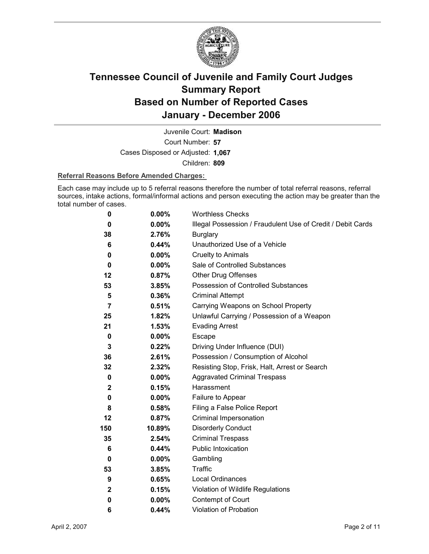

Court Number: **57** Juvenile Court: **Madison** Cases Disposed or Adjusted: **1,067** Children: **809**

### **Referral Reasons Before Amended Charges:**

Each case may include up to 5 referral reasons therefore the number of total referral reasons, referral sources, intake actions, formal/informal actions and person executing the action may be greater than the total number of cases.

| 0            | $0.00\%$ | <b>Worthless Checks</b>                                     |
|--------------|----------|-------------------------------------------------------------|
| 0            | 0.00%    | Illegal Possession / Fraudulent Use of Credit / Debit Cards |
| 38           | 2.76%    | <b>Burglary</b>                                             |
| 6            | 0.44%    | Unauthorized Use of a Vehicle                               |
| 0            | $0.00\%$ | <b>Cruelty to Animals</b>                                   |
| 0            | $0.00\%$ | Sale of Controlled Substances                               |
| 12           | 0.87%    | <b>Other Drug Offenses</b>                                  |
| 53           | 3.85%    | Possession of Controlled Substances                         |
| 5            | 0.36%    | <b>Criminal Attempt</b>                                     |
| 7            | 0.51%    | Carrying Weapons on School Property                         |
| 25           | 1.82%    | Unlawful Carrying / Possession of a Weapon                  |
| 21           | 1.53%    | <b>Evading Arrest</b>                                       |
| 0            | $0.00\%$ | Escape                                                      |
| 3            | $0.22\%$ | Driving Under Influence (DUI)                               |
| 36           | 2.61%    | Possession / Consumption of Alcohol                         |
| 32           | 2.32%    | Resisting Stop, Frisk, Halt, Arrest or Search               |
| 0            | $0.00\%$ | <b>Aggravated Criminal Trespass</b>                         |
| $\mathbf{2}$ | 0.15%    | Harassment                                                  |
| 0            | $0.00\%$ | Failure to Appear                                           |
| 8            | 0.58%    | Filing a False Police Report                                |
| 12           | 0.87%    | Criminal Impersonation                                      |
| 150          | 10.89%   | <b>Disorderly Conduct</b>                                   |
| 35           | 2.54%    | <b>Criminal Trespass</b>                                    |
| 6            | $0.44\%$ | <b>Public Intoxication</b>                                  |
| 0            | $0.00\%$ | Gambling                                                    |
| 53           | 3.85%    | <b>Traffic</b>                                              |
| 9            | 0.65%    | Local Ordinances                                            |
| $\mathbf 2$  | 0.15%    | Violation of Wildlife Regulations                           |
| 0            | $0.00\%$ | Contempt of Court                                           |
| 6            | 0.44%    | Violation of Probation                                      |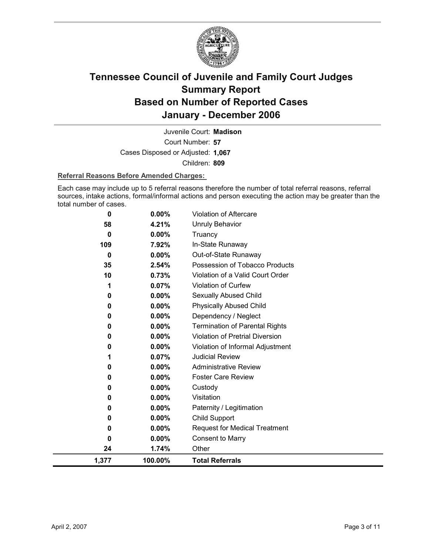

Court Number: **57** Juvenile Court: **Madison** Cases Disposed or Adjusted: **1,067** Children: **809**

### **Referral Reasons Before Amended Charges:**

Each case may include up to 5 referral reasons therefore the number of total referral reasons, referral sources, intake actions, formal/informal actions and person executing the action may be greater than the total number of cases.

| 0            | 0.00%    | Violation of Aftercare                 |
|--------------|----------|----------------------------------------|
| 58           | 4.21%    | <b>Unruly Behavior</b>                 |
| $\mathbf{0}$ | 0.00%    | Truancy                                |
| 109          | 7.92%    | In-State Runaway                       |
| 0            | $0.00\%$ | Out-of-State Runaway                   |
| 35           | 2.54%    | Possession of Tobacco Products         |
| 10           | 0.73%    | Violation of a Valid Court Order       |
| 1            | 0.07%    | <b>Violation of Curfew</b>             |
| 0            | 0.00%    | Sexually Abused Child                  |
| 0            | 0.00%    | <b>Physically Abused Child</b>         |
| 0            | 0.00%    | Dependency / Neglect                   |
| 0            | $0.00\%$ | <b>Termination of Parental Rights</b>  |
| 0            | 0.00%    | <b>Violation of Pretrial Diversion</b> |
| 0            | 0.00%    | Violation of Informal Adjustment       |
|              | 0.07%    | <b>Judicial Review</b>                 |
| 0            | 0.00%    | <b>Administrative Review</b>           |
| 0            | 0.00%    | <b>Foster Care Review</b>              |
| 0            | $0.00\%$ | Custody                                |
| 0            | $0.00\%$ | Visitation                             |
| 0            | 0.00%    | Paternity / Legitimation               |
| 0            | 0.00%    | Child Support                          |
| 0            | $0.00\%$ | <b>Request for Medical Treatment</b>   |
| 0            | 0.00%    | <b>Consent to Marry</b>                |
| 24           | 1.74%    | Other                                  |
| 1,377        | 100.00%  | <b>Total Referrals</b>                 |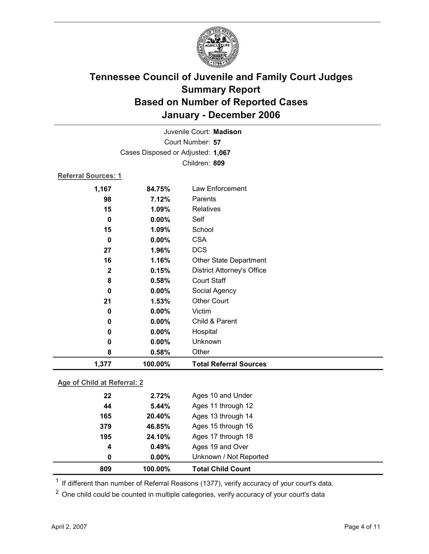

| 1,377                      | 100.00%                           | <b>Total Referral Sources</b>     |  |
|----------------------------|-----------------------------------|-----------------------------------|--|
| 8                          | 0.58%                             | Other                             |  |
| 0                          | 0.00%                             | Unknown                           |  |
| 0                          | 0.00%                             | Hospital                          |  |
| 0                          | $0.00\%$                          | Child & Parent                    |  |
| $\mathbf 0$                | 0.00%                             | Victim                            |  |
| 21                         | 1.53%                             | <b>Other Court</b>                |  |
| 0                          | 0.00%                             | Social Agency                     |  |
| 8                          | 0.58%                             | <b>Court Staff</b>                |  |
| $\mathbf{2}$               | 0.15%                             | <b>District Attorney's Office</b> |  |
| 16                         | 1.16%                             | <b>Other State Department</b>     |  |
| 27                         | 1.96%                             | <b>DCS</b>                        |  |
| 0                          | 0.00%                             | <b>CSA</b>                        |  |
| 15                         | 1.09%                             | School                            |  |
| $\bf{0}$                   | $0.00\%$                          | Self                              |  |
| 15                         | 1.09%                             | <b>Relatives</b>                  |  |
| 98                         | 7.12%                             | Parents                           |  |
| 1,167                      | 84.75%                            | Law Enforcement                   |  |
| <b>Referral Sources: 1</b> |                                   |                                   |  |
|                            |                                   | Children: 809                     |  |
|                            | Cases Disposed or Adjusted: 1,067 |                                   |  |
| Court Number: 57           |                                   |                                   |  |
|                            | Juvenile Court: Madison           |                                   |  |
|                            |                                   |                                   |  |

### **Age of Child at Referral: 2**

| 4<br>0 | 0.49%<br>$0.00\%$ | Ages 19 and Over<br>Unknown / Not Reported |  |
|--------|-------------------|--------------------------------------------|--|
|        |                   |                                            |  |
|        |                   |                                            |  |
|        |                   | Ages 17 through 18                         |  |
| 379    | 46.85%            | Ages 15 through 16                         |  |
| 165    | 20.40%            | Ages 13 through 14                         |  |
| 44     | 5.44%             | Ages 11 through 12                         |  |
| 22     | 2.72%             | Ages 10 and Under                          |  |
|        |                   | 24.10%<br>195                              |  |

 $1$  If different than number of Referral Reasons (1377), verify accuracy of your court's data.

<sup>2</sup> One child could be counted in multiple categories, verify accuracy of your court's data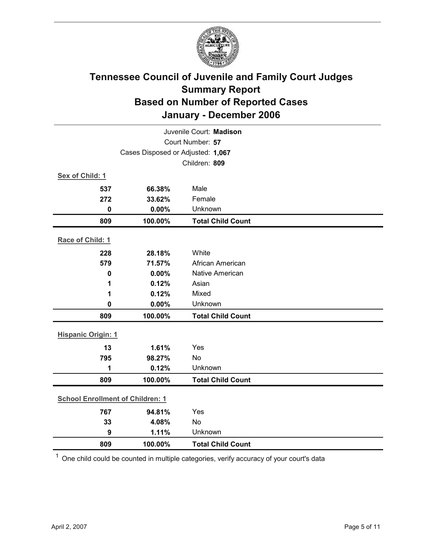

| Juvenile Court: Madison           |                                         |                          |  |  |
|-----------------------------------|-----------------------------------------|--------------------------|--|--|
| Court Number: 57                  |                                         |                          |  |  |
| Cases Disposed or Adjusted: 1,067 |                                         |                          |  |  |
|                                   |                                         | Children: 809            |  |  |
| Sex of Child: 1                   |                                         |                          |  |  |
| 537                               | 66.38%                                  | Male                     |  |  |
| 272                               | 33.62%                                  | Female                   |  |  |
| $\mathbf 0$                       | 0.00%                                   | Unknown                  |  |  |
| 809                               | 100.00%                                 | <b>Total Child Count</b> |  |  |
| Race of Child: 1                  |                                         |                          |  |  |
| 228                               | 28.18%                                  | White                    |  |  |
| 579                               | 71.57%                                  | African American         |  |  |
| $\mathbf 0$                       | 0.00%                                   | Native American          |  |  |
| 1                                 | 0.12%                                   | Asian                    |  |  |
| 1                                 | 0.12%                                   | Mixed                    |  |  |
| 0                                 | 0.00%                                   | Unknown                  |  |  |
| 809                               | 100.00%                                 | <b>Total Child Count</b> |  |  |
| <b>Hispanic Origin: 1</b>         |                                         |                          |  |  |
| 13                                | 1.61%                                   | Yes                      |  |  |
| 795                               | 98.27%                                  | No                       |  |  |
| 1                                 | 0.12%                                   | Unknown                  |  |  |
| 809                               | 100.00%                                 | <b>Total Child Count</b> |  |  |
|                                   | <b>School Enrollment of Children: 1</b> |                          |  |  |
| 767                               | 94.81%                                  | Yes                      |  |  |
| 33                                | 4.08%                                   | No                       |  |  |
| 9                                 | 1.11%                                   | Unknown                  |  |  |
| 809                               | 100.00%                                 | <b>Total Child Count</b> |  |  |

 $1$  One child could be counted in multiple categories, verify accuracy of your court's data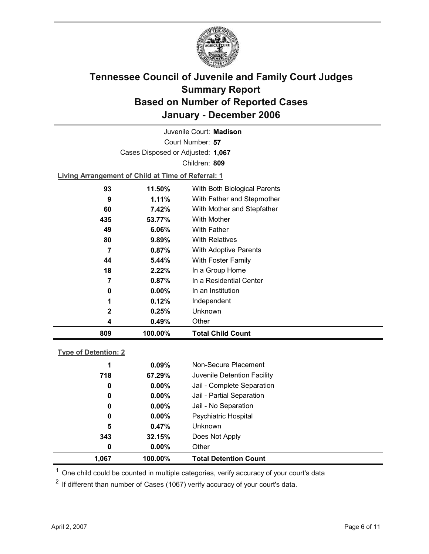

Court Number: **57** Juvenile Court: **Madison** Cases Disposed or Adjusted: **1,067** Children: **809**

**Living Arrangement of Child at Time of Referral: 1**

| 809          | 100.00%  | <b>Total Child Count</b>     |
|--------------|----------|------------------------------|
| 4            | 0.49%    | Other                        |
| $\mathbf{2}$ | 0.25%    | Unknown                      |
| 1            | 0.12%    | Independent                  |
| 0            | $0.00\%$ | In an Institution            |
| 7            | 0.87%    | In a Residential Center      |
| 18           | 2.22%    | In a Group Home              |
| 44           | $5.44\%$ | With Foster Family           |
| 7            | 0.87%    | <b>With Adoptive Parents</b> |
| 80           | 9.89%    | <b>With Relatives</b>        |
| 49           | 6.06%    | <b>With Father</b>           |
| 435          | 53.77%   | With Mother                  |
| 60           | 7.42%    | With Mother and Stepfather   |
| 9            | 1.11%    | With Father and Stepmother   |
| 93           | 11.50%   | With Both Biological Parents |
|              |          |                              |

### **Type of Detention: 2**

| 1,067 |     | 100.00%  | <b>Total Detention Count</b> |
|-------|-----|----------|------------------------------|
|       | 0   | $0.00\%$ | Other                        |
|       | 343 | 32.15%   | Does Not Apply               |
|       | 5   | 0.47%    | Unknown                      |
|       | 0   | $0.00\%$ | <b>Psychiatric Hospital</b>  |
|       | 0   | $0.00\%$ | Jail - No Separation         |
|       | 0   | $0.00\%$ | Jail - Partial Separation    |
|       | 0   | $0.00\%$ | Jail - Complete Separation   |
|       | 718 | 67.29%   | Juvenile Detention Facility  |
|       | 1   | 0.09%    | Non-Secure Placement         |
|       |     |          |                              |

 $<sup>1</sup>$  One child could be counted in multiple categories, verify accuracy of your court's data</sup>

 $2$  If different than number of Cases (1067) verify accuracy of your court's data.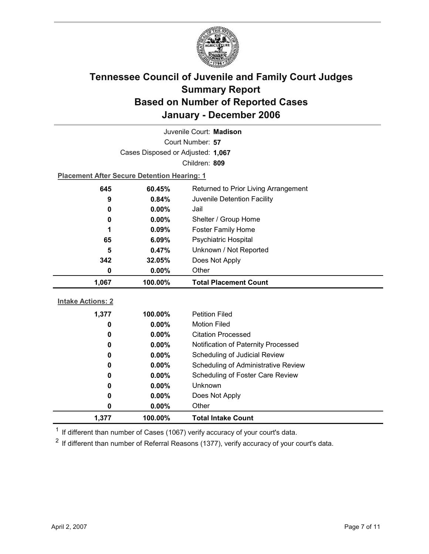

| Juvenile Court: Madison  |                                                    |                                      |  |  |  |
|--------------------------|----------------------------------------------------|--------------------------------------|--|--|--|
|                          | Court Number: 57                                   |                                      |  |  |  |
|                          | Cases Disposed or Adjusted: 1,067                  |                                      |  |  |  |
|                          |                                                    | Children: 809                        |  |  |  |
|                          | <b>Placement After Secure Detention Hearing: 1</b> |                                      |  |  |  |
| 645                      | 60.45%                                             | Returned to Prior Living Arrangement |  |  |  |
| 9                        | 0.84%                                              | Juvenile Detention Facility          |  |  |  |
| 0                        | 0.00%                                              | Jail                                 |  |  |  |
| 0                        | $0.00\%$                                           | Shelter / Group Home                 |  |  |  |
| 1                        | 0.09%                                              | <b>Foster Family Home</b>            |  |  |  |
| 65                       | 6.09%                                              | Psychiatric Hospital                 |  |  |  |
| 5                        | 0.47%                                              | Unknown / Not Reported               |  |  |  |
| 342                      | 32.05%                                             | Does Not Apply                       |  |  |  |
| 0                        | 0.00%                                              | Other                                |  |  |  |
|                          |                                                    |                                      |  |  |  |
| 1,067                    | 100.00%                                            | <b>Total Placement Count</b>         |  |  |  |
|                          |                                                    |                                      |  |  |  |
| <b>Intake Actions: 2</b> |                                                    |                                      |  |  |  |
| 1,377                    | 100.00%                                            | <b>Petition Filed</b>                |  |  |  |
| 0                        | 0.00%                                              | <b>Motion Filed</b>                  |  |  |  |
| 0                        | 0.00%                                              | <b>Citation Processed</b>            |  |  |  |
| 0                        | $0.00\%$                                           | Notification of Paternity Processed  |  |  |  |
| 0                        | 0.00%                                              | Scheduling of Judicial Review        |  |  |  |
| 0                        | $0.00\%$                                           | Scheduling of Administrative Review  |  |  |  |
| 0                        | 0.00%                                              | Scheduling of Foster Care Review     |  |  |  |
| 0                        | 0.00%                                              | Unknown                              |  |  |  |
| 0                        | $0.00\%$                                           | Does Not Apply                       |  |  |  |
| 0<br>1,377               | $0.00\%$<br>100.00%                                | Other<br><b>Total Intake Count</b>   |  |  |  |

 $1$  If different than number of Cases (1067) verify accuracy of your court's data.

 $2$  If different than number of Referral Reasons (1377), verify accuracy of your court's data.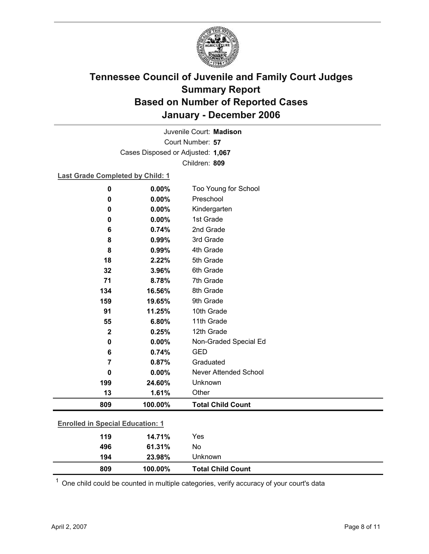

Court Number: **57** Juvenile Court: **Madison** Cases Disposed or Adjusted: **1,067** Children: **809**

### **Last Grade Completed by Child: 1**

| $\mathbf 0$ | 0.00%                                   | Too Young for School         |  |  |
|-------------|-----------------------------------------|------------------------------|--|--|
| 0           | 0.00%                                   | Preschool                    |  |  |
| 0           | 0.00%                                   | Kindergarten                 |  |  |
| 0           | 0.00%                                   | 1st Grade                    |  |  |
| 6           | 0.74%                                   | 2nd Grade                    |  |  |
| 8           | 0.99%                                   | 3rd Grade                    |  |  |
| 8           | 0.99%                                   | 4th Grade                    |  |  |
| 18          | 2.22%                                   | 5th Grade                    |  |  |
| 32          | 3.96%                                   | 6th Grade                    |  |  |
| 71          | 8.78%                                   | 7th Grade                    |  |  |
| 134         | 16.56%                                  | 8th Grade                    |  |  |
| 159         | 19.65%                                  | 9th Grade                    |  |  |
| 91          | 11.25%                                  | 10th Grade                   |  |  |
| 55          | 6.80%                                   | 11th Grade                   |  |  |
| $\mathbf 2$ | 0.25%                                   | 12th Grade                   |  |  |
| 0           | 0.00%                                   | Non-Graded Special Ed        |  |  |
| 6           | 0.74%                                   | <b>GED</b>                   |  |  |
| 7           | 0.87%                                   | Graduated                    |  |  |
| 0           | 0.00%                                   | <b>Never Attended School</b> |  |  |
| 199         | 24.60%                                  | Unknown                      |  |  |
| 13          | 1.61%                                   | Other                        |  |  |
| 809         | 100.00%                                 | <b>Total Child Count</b>     |  |  |
|             | <b>Enrolled in Special Education: 1</b> |                              |  |  |
| 119         | 14.71%                                  | Yes                          |  |  |
| 496         | 61.31%                                  | No                           |  |  |
| 194         | 23.98%                                  | Unknown                      |  |  |

 $1$  One child could be counted in multiple categories, verify accuracy of your court's data

**809 100.00% Total Child Count**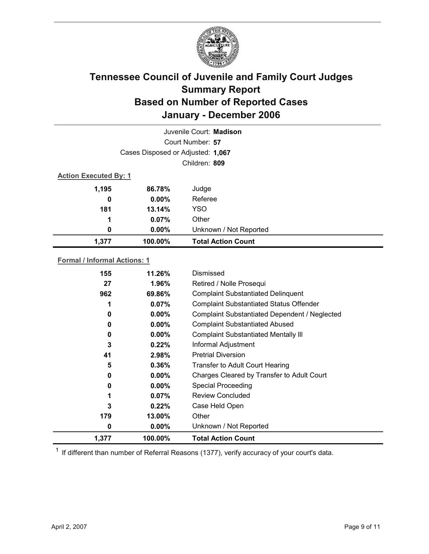

|       | Juvenile Court: Madison           |                           |  |  |
|-------|-----------------------------------|---------------------------|--|--|
|       | Court Number: 57                  |                           |  |  |
|       | Cases Disposed or Adjusted: 1,067 |                           |  |  |
|       | Children: 809                     |                           |  |  |
|       | <b>Action Executed By: 1</b>      |                           |  |  |
| 1,195 | 86.78%                            | Judge                     |  |  |
| 0     | $0.00\%$                          | Referee                   |  |  |
| 181   | 13.14%                            | <b>YSO</b>                |  |  |
| 1     | 0.07%                             | Other                     |  |  |
| 0     | $0.00\%$                          | Unknown / Not Reported    |  |  |
| 1,377 | 100.00%                           | <b>Total Action Count</b> |  |  |

### **Formal / Informal Actions: 1**

| 155   | 11.26%   | Dismissed                                      |
|-------|----------|------------------------------------------------|
| 27    | 1.96%    | Retired / Nolle Prosequi                       |
| 962   | 69.86%   | <b>Complaint Substantiated Delinquent</b>      |
| 1     | 0.07%    | <b>Complaint Substantiated Status Offender</b> |
| 0     | $0.00\%$ | Complaint Substantiated Dependent / Neglected  |
| 0     | $0.00\%$ | <b>Complaint Substantiated Abused</b>          |
| 0     | $0.00\%$ | <b>Complaint Substantiated Mentally III</b>    |
| 3     | $0.22\%$ | Informal Adjustment                            |
| 41    | 2.98%    | <b>Pretrial Diversion</b>                      |
| 5     | 0.36%    | <b>Transfer to Adult Court Hearing</b>         |
| 0     | $0.00\%$ | Charges Cleared by Transfer to Adult Court     |
| 0     | $0.00\%$ | <b>Special Proceeding</b>                      |
| 1     | 0.07%    | <b>Review Concluded</b>                        |
| 3     | $0.22\%$ | Case Held Open                                 |
| 179   | 13.00%   | Other                                          |
| 0     | $0.00\%$ | Unknown / Not Reported                         |
| 1,377 | 100.00%  | <b>Total Action Count</b>                      |

 $1$  If different than number of Referral Reasons (1377), verify accuracy of your court's data.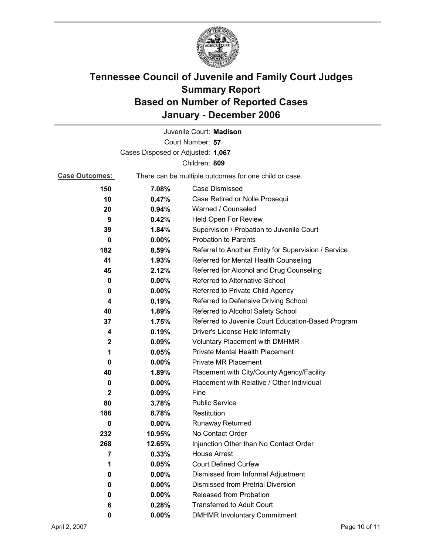

|                                   |          | Juvenile Court: Madison                               |
|-----------------------------------|----------|-------------------------------------------------------|
|                                   |          | Court Number: 57                                      |
| Cases Disposed or Adjusted: 1,067 |          |                                                       |
|                                   |          | Children: 809                                         |
| <b>Case Outcomes:</b>             |          | There can be multiple outcomes for one child or case. |
| 150                               | 7.08%    | Case Dismissed                                        |
| 10                                | 0.47%    | Case Retired or Nolle Prosequi                        |
| 20                                | 0.94%    | Warned / Counseled                                    |
| 9                                 | 0.42%    | Held Open For Review                                  |
| 39                                | 1.84%    | Supervision / Probation to Juvenile Court             |
| 0                                 | 0.00%    | <b>Probation to Parents</b>                           |
| 182                               | 8.59%    | Referral to Another Entity for Supervision / Service  |
| 41                                | 1.93%    | Referred for Mental Health Counseling                 |
| 45                                | 2.12%    | Referred for Alcohol and Drug Counseling              |
| 0                                 | 0.00%    | Referred to Alternative School                        |
| 0                                 | $0.00\%$ | Referred to Private Child Agency                      |
| 4                                 | 0.19%    | Referred to Defensive Driving School                  |
| 40                                | 1.89%    | Referred to Alcohol Safety School                     |
| 37                                | 1.75%    | Referred to Juvenile Court Education-Based Program    |
| 4                                 | 0.19%    | Driver's License Held Informally                      |
| 2                                 | 0.09%    | <b>Voluntary Placement with DMHMR</b>                 |
| 1                                 | 0.05%    | Private Mental Health Placement                       |
| 0                                 | $0.00\%$ | <b>Private MR Placement</b>                           |
| 40                                | 1.89%    | Placement with City/County Agency/Facility            |
| 0                                 | $0.00\%$ | Placement with Relative / Other Individual            |
| $\mathbf{2}$                      | 0.09%    | Fine                                                  |
| 80                                | 3.78%    | <b>Public Service</b>                                 |
| 186                               | 8.78%    | Restitution                                           |
| 0                                 | $0.00\%$ | <b>Runaway Returned</b>                               |
| 232                               | 10.95%   | No Contact Order                                      |
| 268                               | 12.65%   | Injunction Other than No Contact Order                |
| 7                                 | 0.33%    | <b>House Arrest</b>                                   |
| 1                                 | 0.05%    | <b>Court Defined Curfew</b>                           |
| 0                                 | $0.00\%$ | Dismissed from Informal Adjustment                    |
| 0                                 | $0.00\%$ | <b>Dismissed from Pretrial Diversion</b>              |
| 0                                 | $0.00\%$ | Released from Probation                               |
| 6                                 | 0.28%    | <b>Transferred to Adult Court</b>                     |
| 0                                 | $0.00\%$ | <b>DMHMR Involuntary Commitment</b>                   |